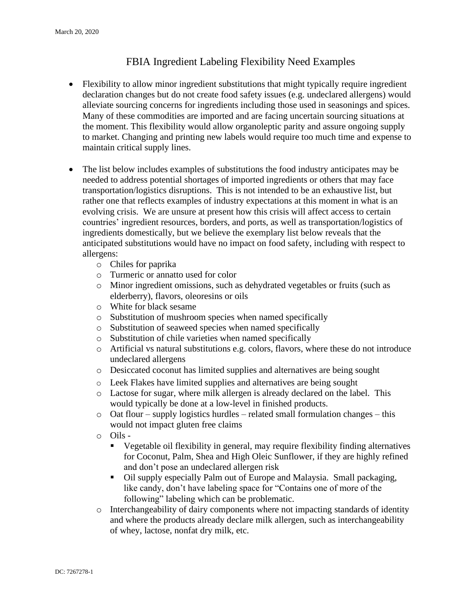## FBIA Ingredient Labeling Flexibility Need Examples

- Flexibility to allow minor ingredient substitutions that might typically require ingredient declaration changes but do not create food safety issues (e.g. undeclared allergens) would alleviate sourcing concerns for ingredients including those used in seasonings and spices. Many of these commodities are imported and are facing uncertain sourcing situations at the moment. This flexibility would allow organoleptic parity and assure ongoing supply to market. Changing and printing new labels would require too much time and expense to maintain critical supply lines.
- The list below includes examples of substitutions the food industry anticipates may be needed to address potential shortages of imported ingredients or others that may face transportation/logistics disruptions. This is not intended to be an exhaustive list, but rather one that reflects examples of industry expectations at this moment in what is an evolving crisis. We are unsure at present how this crisis will affect access to certain countries' ingredient resources, borders, and ports, as well as transportation/logistics of ingredients domestically, but we believe the exemplary list below reveals that the anticipated substitutions would have no impact on food safety, including with respect to allergens:
	- o Chiles for paprika
	- o Turmeric or annatto used for color
	- o Minor ingredient omissions, such as dehydrated vegetables or fruits (such as elderberry), flavors, oleoresins or oils
	- o White for black sesame
	- o Substitution of mushroom species when named specifically
	- o Substitution of seaweed species when named specifically
	- o Substitution of chile varieties when named specifically
	- o Artificial vs natural substitutions e.g. colors, flavors, where these do not introduce undeclared allergens
	- o Desiccated coconut has limited supplies and alternatives are being sought
	- o Leek Flakes have limited supplies and alternatives are being sought
	- o Lactose for sugar, where milk allergen is already declared on the label. This would typically be done at a low-level in finished products.
	- o Oat flour supply logistics hurdles related small formulation changes this would not impact gluten free claims
	- o Oils
		- Vegetable oil flexibility in general, may require flexibility finding alternatives for Coconut, Palm, Shea and High Oleic Sunflower, if they are highly refined and don't pose an undeclared allergen risk
		- Oil supply especially Palm out of Europe and Malaysia. Small packaging, like candy, don't have labeling space for "Contains one of more of the following" labeling which can be problematic.
	- o Interchangeability of dairy components where not impacting standards of identity and where the products already declare milk allergen, such as interchangeability of whey, lactose, nonfat dry milk, etc.